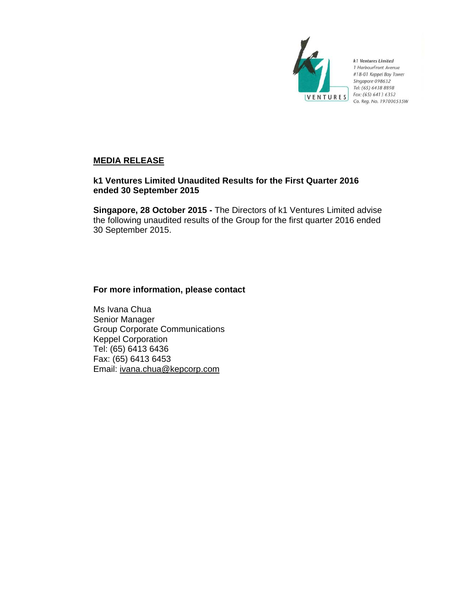

k1 Ventures Limited 1 HarbourFront Avenue #18-01 Keppel Bay Tower Singapore 098632 Tel: (65) 6438 8898 Fax: (65) 6413 6352 Co. Reg. No. 197000535W

## **MEDIA RELEASE**

## **k1 Ventures Limited Unaudited Results for the First Quarter 2016 ended 30 September 2015**

**Singapore, 28 October 2015 -** The Directors of k1 Ventures Limited advise the following unaudited results of the Group for the first quarter 2016 ended 30 September 2015.

## **For more information, please contact**

Ms Ivana Chua Senior Manager Group Corporate Communications Keppel Corporation Tel: (65) 6413 6436 Fax: (65) 6413 6453 Email: ivana.chua@kepcorp.com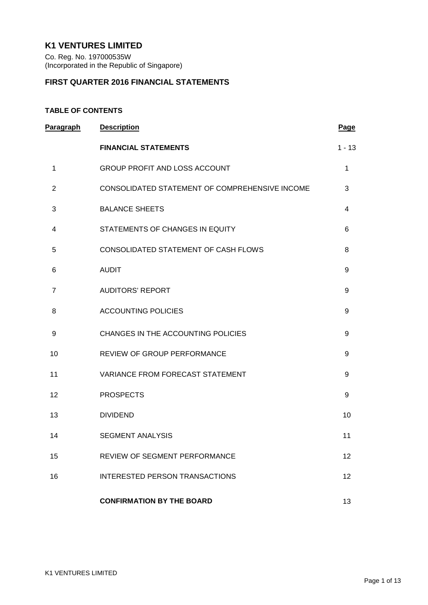# **K1 VENTURES LIMITED**

Co. Reg. No. 197000535W (Incorporated in the Republic of Singapore)

## **FIRST QUARTER 2016 FINANCIAL STATEMENTS**

## **TABLE OF CONTENTS**

| <b>Paragraph</b> | <b>Description</b>                             | <b>Page</b>  |
|------------------|------------------------------------------------|--------------|
|                  | <b>FINANCIAL STATEMENTS</b>                    | $1 - 13$     |
| 1                | <b>GROUP PROFIT AND LOSS ACCOUNT</b>           | $\mathbf{1}$ |
| $\overline{2}$   | CONSOLIDATED STATEMENT OF COMPREHENSIVE INCOME | 3            |
| 3                | <b>BALANCE SHEETS</b>                          | 4            |
| 4                | STATEMENTS OF CHANGES IN EQUITY                | 6            |
| 5                | CONSOLIDATED STATEMENT OF CASH FLOWS           | 8            |
| 6                | <b>AUDIT</b>                                   | 9            |
| $\overline{7}$   | <b>AUDITORS' REPORT</b>                        | 9            |
| 8                | <b>ACCOUNTING POLICIES</b>                     | 9            |
| 9                | CHANGES IN THE ACCOUNTING POLICIES             | 9            |
| 10               | REVIEW OF GROUP PERFORMANCE                    | 9            |
| 11               | VARIANCE FROM FORECAST STATEMENT               | 9            |
| 12               | <b>PROSPECTS</b>                               | 9            |
| 13               | <b>DIVIDEND</b>                                | 10           |
| 14               | <b>SEGMENT ANALYSIS</b>                        | 11           |
| 15               | <b>REVIEW OF SEGMENT PERFORMANCE</b>           | 12           |
| 16               | <b>INTERESTED PERSON TRANSACTIONS</b>          | 12           |
|                  | <b>CONFIRMATION BY THE BOARD</b>               | 13           |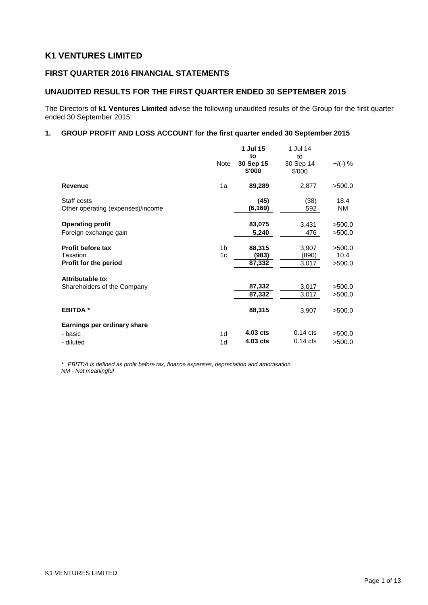# **K1 VENTURES LIMITED**

## **FIRST QUARTER 2016 FINANCIAL STATEMENTS**

## **UNAUDITED RESULTS FOR THE FIRST QUARTER ENDED 30 SEPTEMBER 2015**

The Directors of **k1 Ventures Limited** advise the following unaudited results of the Group for the first quarter ended 30 September 2015.

### **1. GROUP PROFIT AND LOSS ACCOUNT for the first quarter ended 30 September 2015**

|                                                               | Note                             | 1 Jul 15<br>to<br>30 Sep 15<br>\$'000 | 1 Jul 14<br>to<br>30 Sep 14<br>\$'000 | $+$ /(-) %               |
|---------------------------------------------------------------|----------------------------------|---------------------------------------|---------------------------------------|--------------------------|
| <b>Revenue</b>                                                | 1a                               | 89,289                                | 2,877                                 | >500.0                   |
| Staff costs<br>Other operating (expenses)/income              |                                  | (45)<br>(6, 169)                      | (38)<br>592                           | 18.4<br><b>NM</b>        |
| <b>Operating profit</b>                                       |                                  | 83,075                                | 3,431                                 | >500.0                   |
| Foreign exchange gain                                         |                                  | 5,240                                 | 476                                   | >500.0                   |
| <b>Profit before tax</b><br>Taxation<br>Profit for the period | 1 <sub>b</sub><br>1 <sub>c</sub> | 88,315<br>(983)<br>87,332             | 3,907<br>(890)<br>3,017               | >500.0<br>10.4<br>>500.0 |
| <b>Attributable to:</b>                                       |                                  |                                       |                                       |                          |
| Shareholders of the Company                                   |                                  | 87,332<br>87,332                      | 3,017<br>3,017                        | >500.0<br>>500.0         |
| <b>EBITDA</b> *                                               |                                  | 88,315                                | 3,907                                 | >500.0                   |
| Earnings per ordinary share                                   |                                  |                                       |                                       |                          |
| - basic                                                       | 1 <sub>d</sub>                   | 4.03 cts                              | $0.14$ cts                            | >500.0                   |
| - diluted                                                     | 1 <sub>d</sub>                   | 4.03 cts                              | $0.14$ cts                            | >500.0                   |

*\* EBITDA is defined as profit before tax, finance expenses, depreciation and amortisation NM - Not meaningful*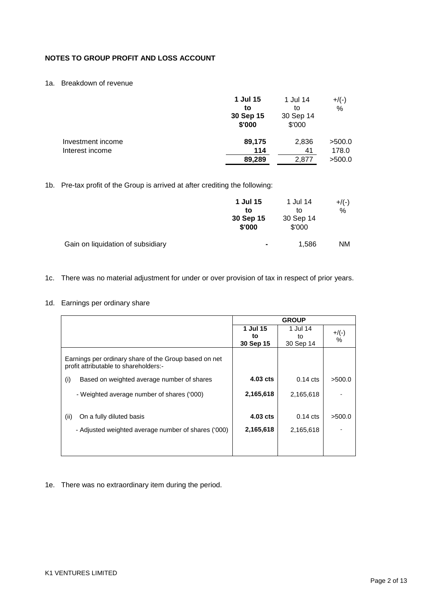## **NOTES TO GROUP PROFIT AND LOSS ACCOUNT**

## 1a. Breakdown of revenue

| \$'000<br>\$'000                     | $+$ /(-)<br>% |
|--------------------------------------|---------------|
| 2,836<br>Investment income<br>89,175 | >500.0        |
| 114<br>Interest income<br>41         | 178.0         |
| 89,289<br>2,877                      | >500.0        |

## 1b. Pre-tax profit of the Group is arrived at after crediting the following:

|                                   | 1 Jul 15<br>to<br>30 Sep 15<br>\$'000 | 1 Jul 14<br>tΟ<br>30 Sep 14<br>\$'000 | $+/(-)$<br>% |
|-----------------------------------|---------------------------------------|---------------------------------------|--------------|
| Gain on liquidation of subsidiary | $\blacksquare$                        | 1.586                                 | NM.          |

## 1c. There was no material adjustment for under or over provision of tax in respect of prior years.

## 1d. Earnings per ordinary share

|                                                                                                |            | <b>GROUP</b> |         |
|------------------------------------------------------------------------------------------------|------------|--------------|---------|
|                                                                                                | 1 Jul 15   | 1 Jul 14     | $+/(-)$ |
|                                                                                                | to         | to           | %       |
|                                                                                                | 30 Sep 15  | 30 Sep 14    |         |
| Earnings per ordinary share of the Group based on net<br>profit attributable to shareholders:- |            |              |         |
| Based on weighted average number of shares<br>(i)                                              | 4.03 cts   | $0.14$ cts   | >500.0  |
| - Weighted average number of shares ('000)                                                     | 2,165,618  | 2,165,618    |         |
| (ii)<br>On a fully diluted basis                                                               | $4.03$ cts | $0.14$ cts   | >500.0  |
| - Adjusted weighted average number of shares ('000)                                            | 2,165,618  | 2,165,618    |         |
|                                                                                                |            |              |         |
|                                                                                                |            |              |         |

## 1e. There was no extraordinary item during the period.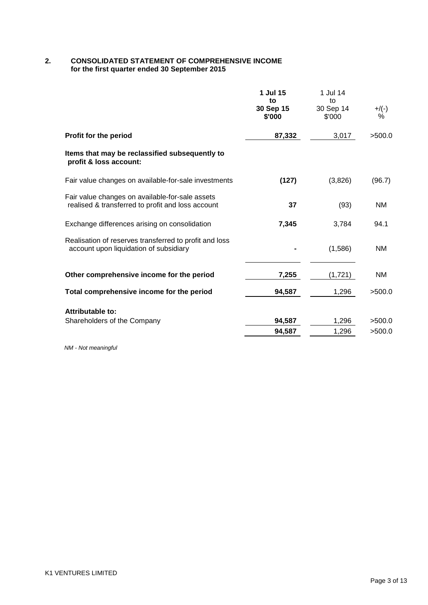## **2. CONSOLIDATED STATEMENT OF COMPREHENSIVE INCOME for the first quarter ended 30 September 2015**

|                                                                                                      | 1 Jul 15<br>to<br>30 Sep 15<br>\$'000 | 1 Jul 14<br>to<br>30 Sep 14<br>\$'000 | $+/(-)$<br>%     |
|------------------------------------------------------------------------------------------------------|---------------------------------------|---------------------------------------|------------------|
| Profit for the period                                                                                | 87,332                                | 3,017                                 | >500.0           |
| Items that may be reclassified subsequently to<br>profit & loss account:                             |                                       |                                       |                  |
| Fair value changes on available-for-sale investments                                                 | (127)                                 | (3,826)                               | (96.7)           |
| Fair value changes on available-for-sale assets<br>realised & transferred to profit and loss account | 37                                    | (93)                                  | NM               |
| Exchange differences arising on consolidation                                                        | 7,345                                 | 3,784                                 | 94.1             |
| Realisation of reserves transferred to profit and loss<br>account upon liquidation of subsidiary     |                                       | (1,586)                               | <b>NM</b>        |
| Other comprehensive income for the period                                                            | 7,255                                 | (1,721)                               | <b>NM</b>        |
| Total comprehensive income for the period                                                            | 94,587                                | 1,296                                 | >500.0           |
| Attributable to:                                                                                     |                                       |                                       |                  |
| Shareholders of the Company                                                                          | 94,587<br>94,587                      | 1,296<br>1,296                        | >500.0<br>>500.0 |
|                                                                                                      |                                       |                                       |                  |

*NM - Not meaningful*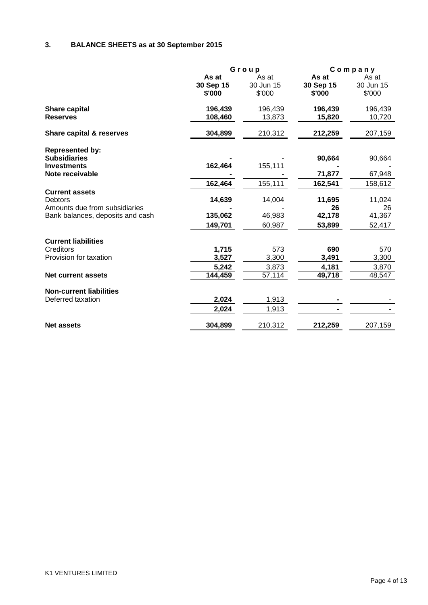# **3. BALANCE SHEETS as at 30 September 2015**

|                                                                                                              |                              | Group                        |                              | $C$ ompany                   |  |
|--------------------------------------------------------------------------------------------------------------|------------------------------|------------------------------|------------------------------|------------------------------|--|
|                                                                                                              | As at<br>30 Sep 15<br>\$'000 | As at<br>30 Jun 15<br>\$'000 | As at<br>30 Sep 15<br>\$'000 | As at<br>30 Jun 15<br>\$'000 |  |
| <b>Share capital</b><br><b>Reserves</b>                                                                      | 196,439<br>108,460           | 196,439<br>13,873            | 196,439<br>15,820            | 196,439<br>10,720            |  |
| <b>Share capital &amp; reserves</b>                                                                          | 304,899                      | 210,312                      | 212,259                      | 207,159                      |  |
| <b>Represented by:</b><br><b>Subsidiaries</b><br><b>Investments</b><br>Note receivable                       | 162,464                      | 155,111                      | 90,664<br>71,877             | 90,664<br>67,948             |  |
|                                                                                                              | 162,464                      | 155,111                      | 162,541                      | 158,612                      |  |
| <b>Current assets</b><br><b>Debtors</b><br>Amounts due from subsidiaries<br>Bank balances, deposits and cash | 14,639<br>135,062            | 14,004<br>46,983             | 11,695<br>26<br>42,178       | 11,024<br>26<br>41,367       |  |
|                                                                                                              | 149,701                      | 60,987                       | 53,899                       | 52,417                       |  |
| <b>Current liabilities</b><br>Creditors<br>Provision for taxation                                            | 1,715<br>3,527<br>5,242      | 573<br>3,300<br>3,873        | 690<br>3,491<br>4,181        | 570<br>3,300<br>3,870        |  |
| <b>Net current assets</b>                                                                                    | 144,459                      | 57,114                       | 49,718                       | 48,547                       |  |
| <b>Non-current liabilities</b><br>Deferred taxation                                                          | 2,024<br>2,024               | 1,913<br>1,913               |                              |                              |  |
| <b>Net assets</b>                                                                                            | 304,899                      | 210,312                      | 212,259                      | 207,159                      |  |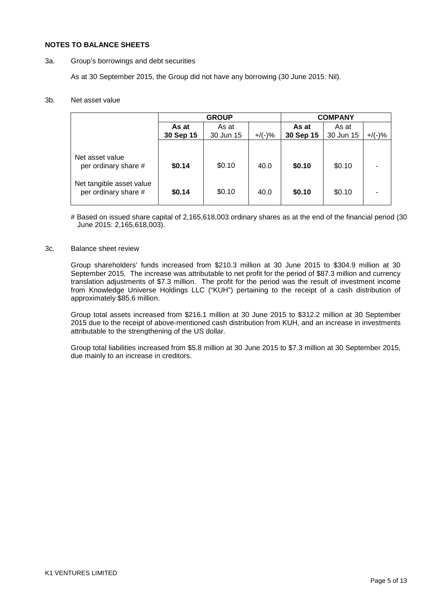### **NOTES TO BALANCE SHEETS**

### 3a. Group's borrowings and debt securities

As at 30 September 2015, the Group did not have any borrowing (30 June 2015: Nil).

### 3b. Net asset value

|                                                  | <b>GROUP</b> |           |           |           | <b>COMPANY</b> |           |
|--------------------------------------------------|--------------|-----------|-----------|-----------|----------------|-----------|
|                                                  | As at        | As at     |           | As at     | As at          |           |
|                                                  | 30 Sep 15    | 30 Jun 15 | $+$ /(-)% | 30 Sep 15 | 30 Jun 15      | $+/(-)$ % |
|                                                  |              |           |           |           |                |           |
| Net asset value<br>per ordinary share #          | \$0.14       | \$0.10    | 40.0      | \$0.10    | \$0.10         |           |
| Net tangible asset value<br>per ordinary share # | \$0.14       | \$0.10    | 40.0      | \$0.10    | \$0.10         |           |

# Based on issued share capital of 2,165,618,003 ordinary shares as at the end of the financial period (30 June 2015: 2,165,618,003).

### 3c. Balance sheet review

Group shareholders' funds increased from \$210.3 million at 30 June 2015 to \$304.9 million at 30 September 2015. The increase was attributable to net profit for the period of \$87.3 million and currency translation adjustments of \$7.3 million. The profit for the period was the result of investment income from Knowledge Universe Holdings LLC ("KUH") pertaining to the receipt of a cash distribution of approximately \$85.6 million.

Group total assets increased from \$216.1 million at 30 June 2015 to \$312.2 million at 30 September 2015 due to the receipt of above-mentioned cash distribution from KUH, and an increase in investments attributable to the strengthening of the US dollar.

Group total liabilities increased from \$5.8 million at 30 June 2015 to \$7.3 million at 30 September 2015, due mainly to an increase in creditors.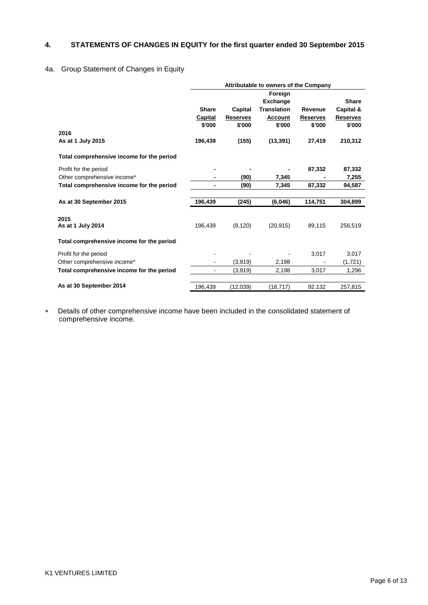## **4. STATEMENTS OF CHANGES IN EQUITY for the first quarter ended 30 September 2015**

## 4a. Group Statement of Changes in Equity

|                                           |              |                 | Attributable to owners of the Company |                 |                 |
|-------------------------------------------|--------------|-----------------|---------------------------------------|-----------------|-----------------|
|                                           |              |                 | Foreign                               |                 |                 |
|                                           |              |                 | <b>Exchange</b>                       |                 | <b>Share</b>    |
|                                           | <b>Share</b> | Capital         | <b>Translation</b>                    | Revenue         | Capital &       |
|                                           | Capital      | <b>Reserves</b> | <b>Account</b>                        | <b>Reserves</b> | <b>Reserves</b> |
|                                           | \$'000       | \$'000          | \$'000                                | \$'000          | \$'000          |
| 2016                                      |              |                 |                                       |                 |                 |
| As at 1 July 2015                         | 196,439      | (155)           | (13, 391)                             | 27,419          | 210,312         |
| Total comprehensive income for the period |              |                 |                                       |                 |                 |
| Profit for the period                     |              |                 |                                       | 87,332          | 87,332          |
| Other comprehensive income*               |              | (90)            | 7,345                                 |                 | 7,255           |
| Total comprehensive income for the period |              | (90)            | 7,345                                 | 87,332          | 94,587          |
| As at 30 September 2015                   | 196,439      | (245)           | (6,046)                               | 114,751         | 304,899         |
| 2015                                      |              |                 |                                       |                 |                 |
| As at 1 July 2014                         | 196,439      | (8, 120)        | (20.915)                              | 89,115          | 256,519         |
| Total comprehensive income for the period |              |                 |                                       |                 |                 |
| Profit for the period                     |              |                 |                                       | 3,017           | 3,017           |
| Other comprehensive income*               |              | (3,919)         | 2,198                                 |                 | (1,721)         |
| Total comprehensive income for the period |              | (3,919)         | 2,198                                 | 3,017           | 1,296           |
| As at 30 September 2014                   | 196,439      | (12,039)        | (18, 717)                             | 92,132          | 257,815         |

∗ Details of other comprehensive income have been included in the consolidated statement of comprehensive income.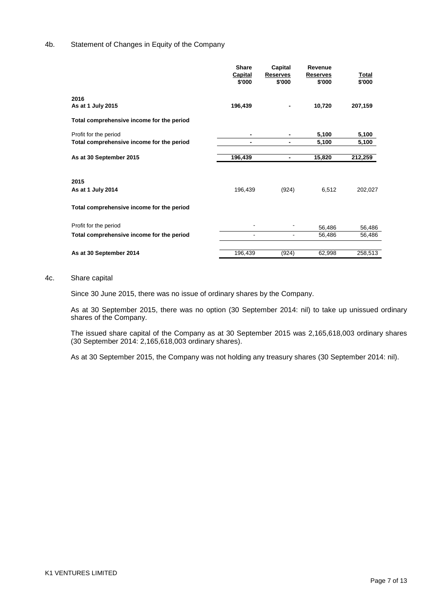### 4b. Statement of Changes in Equity of the Company

|                                           | <b>Share</b><br>Capital<br>\$'000 | Capital<br><b>Reserves</b><br>\$'000 | Revenue<br><b>Reserves</b><br>\$'000 | Total<br>\$'000 |
|-------------------------------------------|-----------------------------------|--------------------------------------|--------------------------------------|-----------------|
| 2016<br>As at 1 July 2015                 | 196,439                           |                                      | 10,720                               | 207,159         |
| Total comprehensive income for the period |                                   |                                      |                                      |                 |
| Profit for the period                     |                                   | -                                    | 5,100                                | 5,100           |
| Total comprehensive income for the period |                                   | -                                    | 5,100                                | 5,100           |
| As at 30 September 2015                   | 196,439                           | -                                    | 15,820                               | 212,259         |
| 2015<br>As at 1 July 2014                 | 196,439                           | (924)                                | 6,512                                | 202,027         |
| Total comprehensive income for the period |                                   |                                      |                                      |                 |
| Profit for the period                     |                                   |                                      | 56,486                               | 56,486          |
| Total comprehensive income for the period | $\blacksquare$                    |                                      | 56,486                               | 56,486          |
|                                           |                                   |                                      |                                      |                 |
| As at 30 September 2014                   | 196,439                           | (924)                                | 62,998                               | 258,513         |

#### 4c. Share capital

Since 30 June 2015, there was no issue of ordinary shares by the Company.

As at 30 September 2015, there was no option (30 September 2014: nil) to take up unissued ordinary shares of the Company.

The issued share capital of the Company as at 30 September 2015 was 2,165,618,003 ordinary shares (30 September 2014: 2,165,618,003 ordinary shares).

As at 30 September 2015, the Company was not holding any treasury shares (30 September 2014: nil).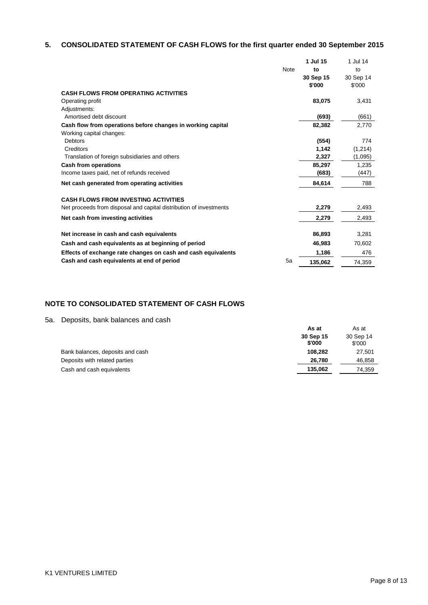# **5. CONSOLIDATED STATEMENT OF CASH FLOWS for the first quarter ended 30 September 2015**

|                                                                    |             | 1 Jul 15  | 1 Jul 14  |
|--------------------------------------------------------------------|-------------|-----------|-----------|
|                                                                    | <b>Note</b> | to        | to        |
|                                                                    |             | 30 Sep 15 | 30 Sep 14 |
|                                                                    |             | \$'000    | \$'000    |
| <b>CASH FLOWS FROM OPERATING ACTIVITIES</b>                        |             |           |           |
| Operating profit                                                   |             | 83,075    | 3,431     |
| Adjustments:                                                       |             |           |           |
| Amortised debt discount                                            |             | (693)     | (661)     |
| Cash flow from operations before changes in working capital        |             | 82,382    | 2,770     |
| Working capital changes:                                           |             |           |           |
| <b>Debtors</b>                                                     |             | (554)     | 774       |
| Creditors                                                          |             | 1,142     | (1,214)   |
| Translation of foreign subsidiaries and others                     |             | 2,327     | (1,095)   |
| <b>Cash from operations</b>                                        |             | 85,297    | 1,235     |
| Income taxes paid, net of refunds received                         |             | (683)     | (447)     |
| Net cash generated from operating activities                       |             | 84,614    | 788       |
| <b>CASH FLOWS FROM INVESTING ACTIVITIES</b>                        |             |           |           |
| Net proceeds from disposal and capital distribution of investments |             | 2,279     | 2,493     |
| Net cash from investing activities                                 |             | 2,279     | 2,493     |
| Net increase in cash and cash equivalents                          |             | 86,893    | 3,281     |
| Cash and cash equivalents as at beginning of period                |             | 46,983    | 70,602    |
| Effects of exchange rate changes on cash and cash equivalents      |             | 1,186     | 476       |
| Cash and cash equivalents at end of period                         | 5a          | 135,062   | 74,359    |

## **NOTE TO CONSOLIDATED STATEMENT OF CASH FLOWS**

5a. Deposits, bank balances and cash

|                                  | As at               | As at               |
|----------------------------------|---------------------|---------------------|
|                                  | 30 Sep 15<br>\$'000 | 30 Sep 14<br>\$'000 |
| Bank balances, deposits and cash | 108.282             | 27,501              |
| Deposits with related parties    | 26.780              | 46,858              |
| Cash and cash equivalents        | 135.062             | 74,359              |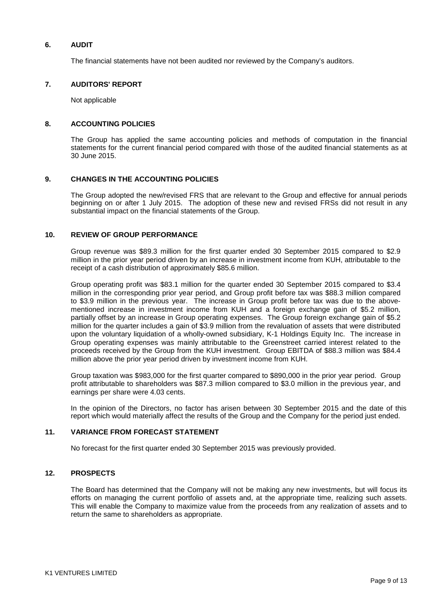## **6. AUDIT**

The financial statements have not been audited nor reviewed by the Company's auditors.

### **7. AUDITORS' REPORT**

Not applicable

### **8. ACCOUNTING POLICIES**

The Group has applied the same accounting policies and methods of computation in the financial statements for the current financial period compared with those of the audited financial statements as at 30 June 2015.

### **9. CHANGES IN THE ACCOUNTING POLICIES**

The Group adopted the new/revised FRS that are relevant to the Group and effective for annual periods beginning on or after 1 July 2015. The adoption of these new and revised FRSs did not result in any substantial impact on the financial statements of the Group.

### **10. REVIEW OF GROUP PERFORMANCE**

Group revenue was \$89.3 million for the first quarter ended 30 September 2015 compared to \$2.9 million in the prior year period driven by an increase in investment income from KUH, attributable to the receipt of a cash distribution of approximately \$85.6 million.

Group operating profit was \$83.1 million for the quarter ended 30 September 2015 compared to \$3.4 million in the corresponding prior year period, and Group profit before tax was \$88.3 million compared to \$3.9 million in the previous year. The increase in Group profit before tax was due to the abovementioned increase in investment income from KUH and a foreign exchange gain of \$5.2 million, partially offset by an increase in Group operating expenses. The Group foreign exchange gain of \$5.2 million for the quarter includes a gain of \$3.9 million from the revaluation of assets that were distributed upon the voluntary liquidation of a wholly-owned subsidiary, K-1 Holdings Equity Inc. The increase in Group operating expenses was mainly attributable to the Greenstreet carried interest related to the proceeds received by the Group from the KUH investment. Group EBITDA of \$88.3 million was \$84.4 million above the prior year period driven by investment income from KUH.

Group taxation was \$983,000 for the first quarter compared to \$890,000 in the prior year period. Group profit attributable to shareholders was \$87.3 million compared to \$3.0 million in the previous year, and earnings per share were 4.03 cents.

In the opinion of the Directors, no factor has arisen between 30 September 2015 and the date of this report which would materially affect the results of the Group and the Company for the period just ended.

### **11. VARIANCE FROM FORECAST STATEMENT**

No forecast for the first quarter ended 30 September 2015 was previously provided.

### **12. PROSPECTS**

The Board has determined that the Company will not be making any new investments, but will focus its efforts on managing the current portfolio of assets and, at the appropriate time, realizing such assets. This will enable the Company to maximize value from the proceeds from any realization of assets and to return the same to shareholders as appropriate.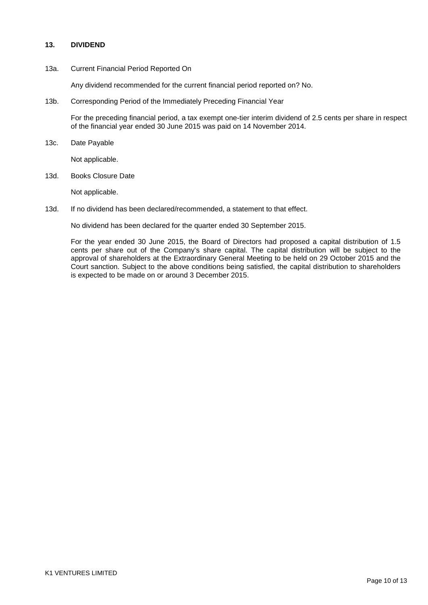## **13. DIVIDEND**

### 13a. Current Financial Period Reported On

Any dividend recommended for the current financial period reported on? No.

13b. Corresponding Period of the Immediately Preceding Financial Year

For the preceding financial period, a tax exempt one-tier interim dividend of 2.5 cents per share in respect of the financial year ended 30 June 2015 was paid on 14 November 2014.

13c. Date Payable

Not applicable.

13d. Books Closure Date

Not applicable.

13d. If no dividend has been declared/recommended, a statement to that effect.

No dividend has been declared for the quarter ended 30 September 2015.

For the year ended 30 June 2015, the Board of Directors had proposed a capital distribution of 1.5 cents per share out of the Company's share capital. The capital distribution will be subject to the approval of shareholders at the Extraordinary General Meeting to be held on 29 October 2015 and the Court sanction. Subject to the above conditions being satisfied, the capital distribution to shareholders is expected to be made on or around 3 December 2015.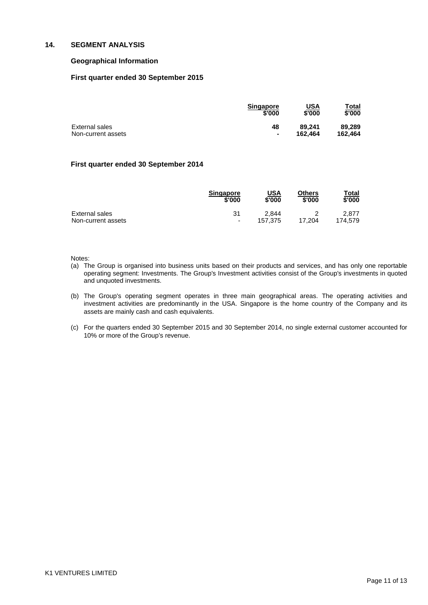### **14. SEGMENT ANALYSIS**

### **Geographical Information**

### **First quarter ended 30 September 2015**

|                    | <b>Singapore</b> | USA     | Total   |
|--------------------|------------------|---------|---------|
|                    | \$'000           | \$'000  | \$'000  |
| External sales     | 48               | 89.241  | 89.289  |
| Non-current assets | $\blacksquare$   | 162.464 | 162.464 |

### **First quarter ended 30 September 2014**

|                    | <b>Singapore</b>         | <u>USA</u> | Others | Total   |
|--------------------|--------------------------|------------|--------|---------|
|                    | \$'000                   | \$'000     | \$'000 | \$'000  |
| External sales     | 31                       | 2.844      | 17.204 | 2.877   |
| Non-current assets | $\overline{\phantom{a}}$ | 157.375    |        | 174.579 |

#### Notes:

- (a) The Group is organised into business units based on their products and services, and has only one reportable operating segment: Investments. The Group's Investment activities consist of the Group's investments in quoted and unquoted investments.
- (b) The Group's operating segment operates in three main geographical areas. The operating activities and investment activities are predominantly in the USA. Singapore is the home country of the Company and its assets are mainly cash and cash equivalents.
- (c) For the quarters ended 30 September 2015 and 30 September 2014, no single external customer accounted for 10% or more of the Group's revenue.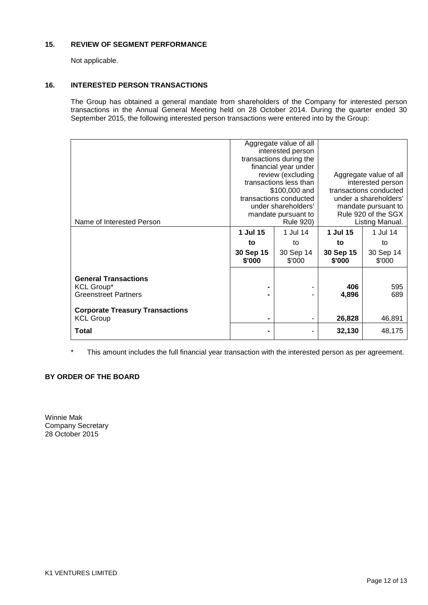## **15. REVIEW OF SEGMENT PERFORMANCE**

Not applicable.

## **16. INTERESTED PERSON TRANSACTIONS**

The Group has obtained a general mandate from shareholders of the Company for interested person transactions in the Annual General Meeting held on 28 October 2014. During the quarter ended 30 September 2015, the following interested person transactions were entered into by the Group:

|                                                                                 | Aggregate value of all<br>interested person<br>transactions during the<br>financial year under<br>review (excluding<br>transactions less than<br>\$100,000 and<br>transactions conducted<br>under shareholders'<br>mandate pursuant to |                     | Aggregate value of all<br>interested person<br>transactions conducted<br>under a shareholders'<br>mandate pursuant to<br>Rule 920 of the SGX |                     |
|---------------------------------------------------------------------------------|----------------------------------------------------------------------------------------------------------------------------------------------------------------------------------------------------------------------------------------|---------------------|----------------------------------------------------------------------------------------------------------------------------------------------|---------------------|
| Name of Interested Person                                                       | Rule 920)                                                                                                                                                                                                                              |                     | Listing Manual.                                                                                                                              |                     |
|                                                                                 | 1 Jul 15                                                                                                                                                                                                                               | 1 Jul 14            | 1 Jul 15                                                                                                                                     | 1 Jul 14            |
|                                                                                 | to                                                                                                                                                                                                                                     | to                  | to                                                                                                                                           | to                  |
|                                                                                 | 30 Sep 15<br>\$'000                                                                                                                                                                                                                    | 30 Sep 14<br>\$'000 | 30 Sep 15<br>\$'000                                                                                                                          | 30 Sep 14<br>\$'000 |
| <b>General Transactions</b><br><b>KCL Group*</b><br><b>Greenstreet Partners</b> |                                                                                                                                                                                                                                        |                     | 406<br>4,896                                                                                                                                 | 595<br>689          |
| <b>Corporate Treasury Transactions</b><br><b>KCL Group</b>                      | -                                                                                                                                                                                                                                      |                     | 26,828                                                                                                                                       | 46,891              |
| Total                                                                           |                                                                                                                                                                                                                                        |                     | 32,130                                                                                                                                       | 48,175              |

\* This amount includes the full financial year transaction with the interested person as per agreement.

## **BY ORDER OF THE BOARD**

Winnie Mak Company Secretary 28 October 2015